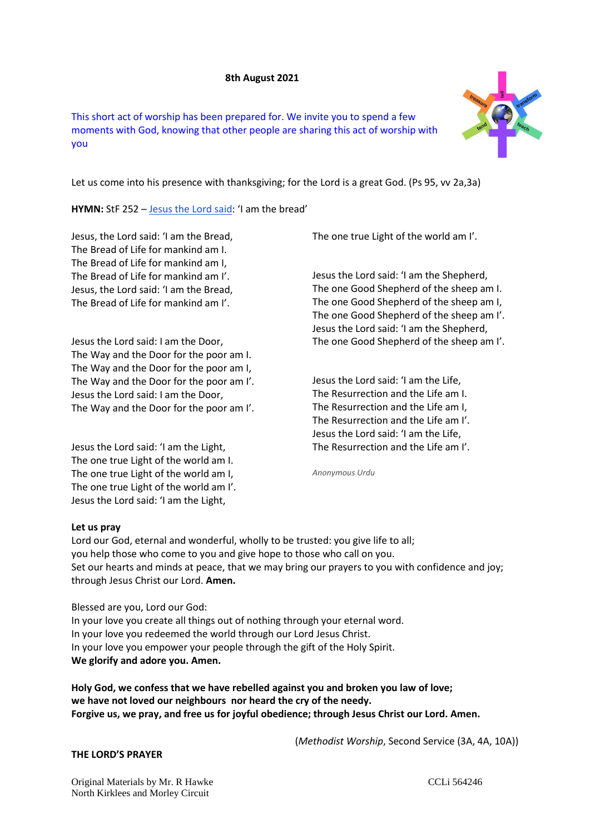### **8th August 2021**

This short act of worship has been prepared for. We invite you to spend a few moments with God, knowing that other people are sharing this act of worship with you



Let us come into his presence with thanksgiving; for the Lord is a great God. (Ps 95, vv 2a,3a)

HYMN: StF 252 - [Jesus the Lord said](https://www.youtube.com/watch?v=jFmBruVQ36M): 'I am the bread'

Jesus, the Lord said: 'I am the Bread, The Bread of Life for mankind am I. The Bread of Life for mankind am I, The Bread of Life for mankind am I'. Jesus, the Lord said: 'I am the Bread, The Bread of Life for mankind am I'.

Jesus the Lord said: I am the Door, The Way and the Door for the poor am I. The Way and the Door for the poor am I, The Way and the Door for the poor am I'. Jesus the Lord said: I am the Door, The Way and the Door for the poor am I'.

Jesus the Lord said: 'I am the Light, The one true Light of the world am I. The one true Light of the world am I, The one true Light of the world am I'. Jesus the Lord said: 'I am the Light,

The one true Light of the world am I'.

Jesus the Lord said: 'I am the Shepherd, The one Good Shepherd of the sheep am I. The one Good Shepherd of the sheep am I, The one Good Shepherd of the sheep am I'. Jesus the Lord said: 'I am the Shepherd, The one Good Shepherd of the sheep am I'.

Jesus the Lord said: 'I am the Life, The Resurrection and the Life am I. The Resurrection and the Life am I, The Resurrection and the Life am I'. Jesus the Lord said: 'I am the Life, The Resurrection and the Life am I'.

*Anonymous Urdu*

#### **Let us pray**

Lord our God, eternal and wonderful, wholly to be trusted: you give life to all; you help those who come to you and give hope to those who call on you. Set our hearts and minds at peace, that we may bring our prayers to you with confidence and joy; through Jesus Christ our Lord. **Amen.**

Blessed are you, Lord our God: In your love you create all things out of nothing through your eternal word. In your love you redeemed the world through our Lord Jesus Christ. In your love you empower your people through the gift of the Holy Spirit. **We glorify and adore you. Amen.**

**Holy God, we confess that we have rebelled against you and broken you law of love; we have not loved our neighbours nor heard the cry of the needy. Forgive us, we pray, and free us for joyful obedience; through Jesus Christ our Lord. Amen.**

(*Methodist Worship*, Second Service (3A, 4A, 10A))

### **THE LORD'S PRAYER**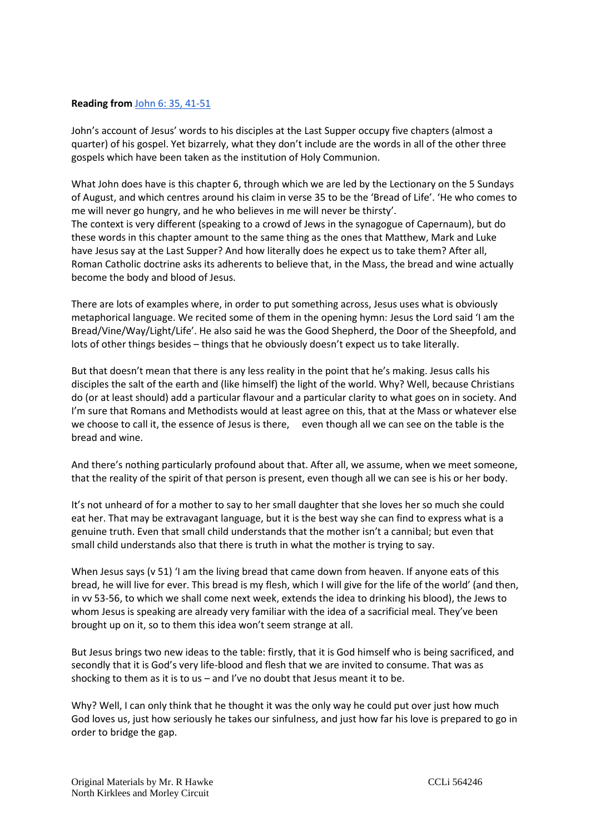## **Reading from** [John 6: 35, 41-51](https://www.biblegateway.com/passage/?search=John+6%3A+35%2C+41-51&version=NIV)

John's account of Jesus' words to his disciples at the Last Supper occupy five chapters (almost a quarter) of his gospel. Yet bizarrely, what they don't include are the words in all of the other three gospels which have been taken as the institution of Holy Communion.

What John does have is this chapter 6, through which we are led by the Lectionary on the 5 Sundays of August, and which centres around his claim in verse 35 to be the 'Bread of Life'. 'He who comes to me will never go hungry, and he who believes in me will never be thirsty'. The context is very different (speaking to a crowd of Jews in the synagogue of Capernaum), but do these words in this chapter amount to the same thing as the ones that Matthew, Mark and Luke have Jesus say at the Last Supper? And how literally does he expect us to take them? After all, Roman Catholic doctrine asks its adherents to believe that, in the Mass, the bread and wine actually become the body and blood of Jesus.

There are lots of examples where, in order to put something across, Jesus uses what is obviously metaphorical language. We recited some of them in the opening hymn: Jesus the Lord said 'I am the Bread/Vine/Way/Light/Life'. He also said he was the Good Shepherd, the Door of the Sheepfold, and lots of other things besides – things that he obviously doesn't expect us to take literally.

But that doesn't mean that there is any less reality in the point that he's making. Jesus calls his disciples the salt of the earth and (like himself) the light of the world. Why? Well, because Christians do (or at least should) add a particular flavour and a particular clarity to what goes on in society. And I'm sure that Romans and Methodists would at least agree on this, that at the Mass or whatever else we choose to call it, the essence of Jesus is there, even though all we can see on the table is the bread and wine.

And there's nothing particularly profound about that. After all, we assume, when we meet someone, that the reality of the spirit of that person is present, even though all we can see is his or her body.

It's not unheard of for a mother to say to her small daughter that she loves her so much she could eat her. That may be extravagant language, but it is the best way she can find to express what is a genuine truth. Even that small child understands that the mother isn't a cannibal; but even that small child understands also that there is truth in what the mother is trying to say.

When Jesus says (v 51) 'I am the living bread that came down from heaven. If anyone eats of this bread, he will live for ever. This bread is my flesh, which I will give for the life of the world' (and then, in vv 53-56, to which we shall come next week, extends the idea to drinking his blood), the Jews to whom Jesus is speaking are already very familiar with the idea of a sacrificial meal. They've been brought up on it, so to them this idea won't seem strange at all.

But Jesus brings two new ideas to the table: firstly, that it is God himself who is being sacrificed, and secondly that it is God's very life-blood and flesh that we are invited to consume. That was as shocking to them as it is to us – and I've no doubt that Jesus meant it to be.

Why? Well, I can only think that he thought it was the only way he could put over just how much God loves us, just how seriously he takes our sinfulness, and just how far his love is prepared to go in order to bridge the gap.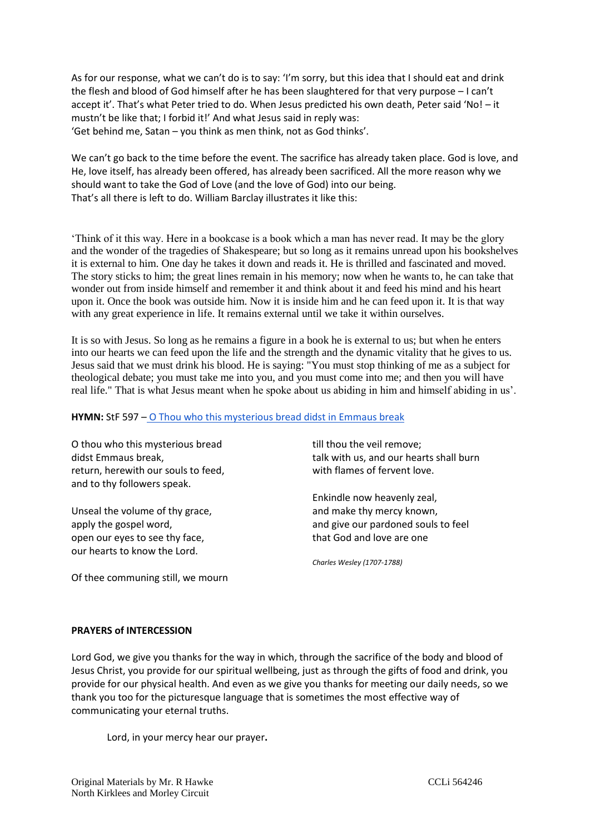As for our response, what we can't do is to say: 'I'm sorry, but this idea that I should eat and drink the flesh and blood of God himself after he has been slaughtered for that very purpose – I can't accept it'. That's what Peter tried to do. When Jesus predicted his own death, Peter said 'No! – it mustn't be like that; I forbid it!' And what Jesus said in reply was: 'Get behind me, Satan – you think as men think, not as God thinks'.

We can't go back to the time before the event. The sacrifice has already taken place. God is love, and He, love itself, has already been offered, has already been sacrificed. All the more reason why we should want to take the God of Love (and the love of God) into our being. That's all there is left to do. William Barclay illustrates it like this:

'Think of it this way. Here in a bookcase is a book which a man has never read. It may be the glory and the wonder of the tragedies of Shakespeare; but so long as it remains unread upon his bookshelves it is external to him. One day he takes it down and reads it. He is thrilled and fascinated and moved. The story sticks to him; the great lines remain in his memory; now when he wants to, he can take that wonder out from inside himself and remember it and think about it and feed his mind and his heart upon it. Once the book was outside him. Now it is inside him and he can feed upon it. It is that way with any great experience in life. It remains external until we take it within ourselves.

It is so with Jesus. So long as he remains a figure in a book he is external to us; but when he enters into our hearts we can feed upon the life and the strength and the dynamic vitality that he gives to us. Jesus said that we must drink his blood. He is saying: "You must stop thinking of me as a subject for theological debate; you must take me into you, and you must come into me; and then you will have real life." That is what Jesus meant when he spoke about us abiding in him and himself abiding in us'.

### **HYMN:** StF 597 – [O Thou who this mysterious bread didst in Emmaus break](https://www.youtube.com/watch?v=SpS5xbhzd2Y)

O thou who this mysterious bread didst Emmaus break, return, herewith our souls to feed, and to thy followers speak.

Unseal the volume of thy grace, apply the gospel word, open our eyes to see thy face, our hearts to know the Lord.

till thou the veil remove; talk with us, and our hearts shall burn with flames of fervent love.

Enkindle now heavenly zeal, and make thy mercy known, and give our pardoned souls to feel that God and love are one

*Charles Wesley (1707-1788)*

Of thee communing still, we mourn

### **PRAYERS of INTERCESSION**

Lord God, we give you thanks for the way in which, through the sacrifice of the body and blood of Jesus Christ, you provide for our spiritual wellbeing, just as through the gifts of food and drink, you provide for our physical health. And even as we give you thanks for meeting our daily needs, so we thank you too for the picturesque language that is sometimes the most effective way of communicating your eternal truths.

Lord, in your mercy hear our prayer**.**